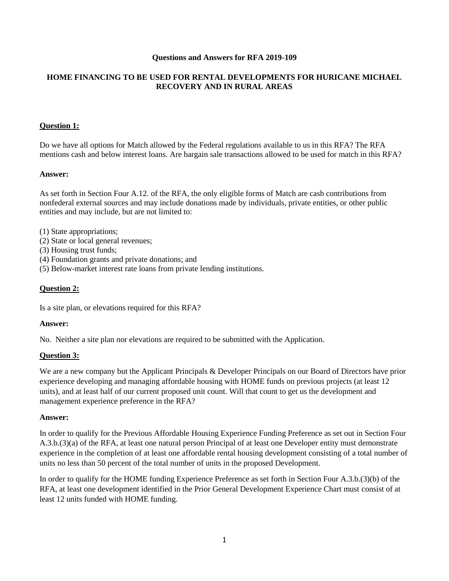#### **Questions and Answers for RFA 2019-109**

# **HOME FINANCING TO BE USED FOR RENTAL DEVELOPMENTS FOR HURICANE MICHAEL RECOVERY AND IN RURAL AREAS**

#### **Question 1:**

Do we have all options for Match allowed by the Federal regulations available to us in this RFA? The RFA mentions cash and below interest loans. Are bargain sale transactions allowed to be used for match in this RFA?

#### **Answer:**

As set forth in Section Four A.12. of the RFA, the only eligible forms of Match are cash contributions from nonfederal external sources and may include donations made by individuals, private entities, or other public entities and may include, but are not limited to:

- (1) State appropriations;
- (2) State or local general revenues;
- (3) Housing trust funds;
- (4) Foundation grants and private donations; and
- (5) Below-market interest rate loans from private lending institutions.

#### **Question 2:**

Is a site plan, or elevations required for this RFA?

#### **Answer:**

No. Neither a site plan nor elevations are required to be submitted with the Application.

#### **Question 3:**

We are a new company but the Applicant Principals & Developer Principals on our Board of Directors have prior experience developing and managing affordable housing with HOME funds on previous projects (at least 12 units), and at least half of our current proposed unit count. Will that count to get us the development and management experience preference in the RFA?

#### **Answer:**

In order to qualify for the Previous Affordable Housing Experience Funding Preference as set out in Section Four A.3.b.(3)(a) of the RFA, at least one natural person Principal of at least one Developer entity must demonstrate experience in the completion of at least one affordable rental housing development consisting of a total number of units no less than 50 percent of the total number of units in the proposed Development.

In order to qualify for the HOME funding Experience Preference as set forth in Section Four A.3.b.(3)(b) of the RFA, at least one development identified in the Prior General Development Experience Chart must consist of at least 12 units funded with HOME funding.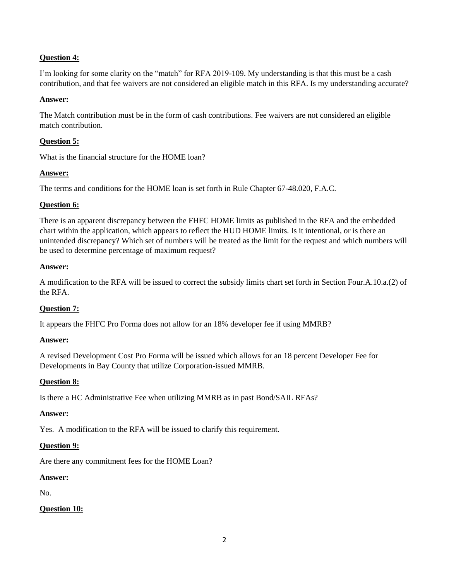# **Question 4:**

I'm looking for some clarity on the "match" for RFA 2019-109. My understanding is that this must be a cash contribution, and that fee waivers are not considered an eligible match in this RFA. Is my understanding accurate?

#### **Answer:**

The Match contribution must be in the form of cash contributions. Fee waivers are not considered an eligible match contribution.

## **Question 5:**

What is the financial structure for the HOME loan?

## **Answer:**

The terms and conditions for the HOME loan is set forth in Rule Chapter 67-48.020, F.A.C.

### **Question 6:**

There is an apparent discrepancy between the FHFC HOME limits as published in the RFA and the embedded chart within the application, which appears to reflect the HUD HOME limits. Is it intentional, or is there an unintended discrepancy? Which set of numbers will be treated as the limit for the request and which numbers will be used to determine percentage of maximum request?

### **Answer:**

A modification to the RFA will be issued to correct the subsidy limits chart set forth in Section Four.A.10.a.(2) of the RFA.

# **Question 7:**

It appears the FHFC Pro Forma does not allow for an 18% developer fee if using MMRB?

### **Answer:**

A revised Development Cost Pro Forma will be issued which allows for an 18 percent Developer Fee for Developments in Bay County that utilize Corporation-issued MMRB.

### **Question 8:**

Is there a HC Administrative Fee when utilizing MMRB as in past Bond/SAIL RFAs?

### **Answer:**

Yes. A modification to the RFA will be issued to clarify this requirement.

### **Question 9:**

Are there any commitment fees for the HOME Loan?

### **Answer:**

No.

# **Question 10:**